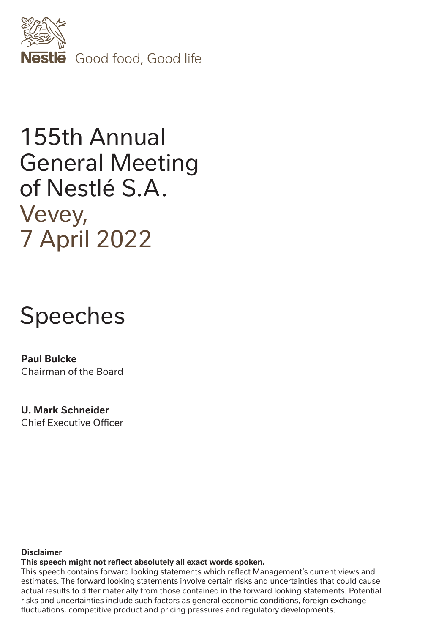

## 155th Annual General Meeting of Nestlé S.A. Vevey, 7 April 2022

# Speeches

**Paul Bulcke** Chairman of the Board

**U. Mark Schneider** Chief Executive Officer

#### **Disclaimer**

**This speech might not reflect absolutely all exact words spoken.**

This speech contains forward looking statements which reflect Management's current views and estimates. The forward looking statements involve certain risks and uncertainties that could cause actual results to differ materially from those contained in the forward looking statements. Potential risks and uncertainties include such factors as general economic conditions, foreign exchange fluctuations, competitive product and pricing pressures and regulatory developments.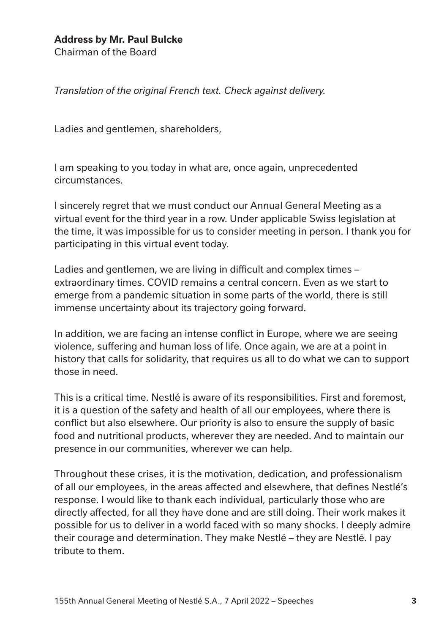## **Address by Mr. Paul Bulcke**

Chairman of the Board

*Translation of the original French text. Check against delivery.*

Ladies and gentlemen, shareholders,

I am speaking to you today in what are, once again, unprecedented circumstances.

I sincerely regret that we must conduct our Annual General Meeting as a virtual event for the third year in a row. Under applicable Swiss legislation at the time, it was impossible for us to consider meeting in person. I thank you for participating in this virtual event today.

Ladies and gentlemen, we are living in difficult and complex times – extraordinary times. COVID remains a central concern. Even as we start to emerge from a pandemic situation in some parts of the world, there is still immense uncertainty about its trajectory going forward.

In addition, we are facing an intense conflict in Europe, where we are seeing violence, suffering and human loss of life. Once again, we are at a point in history that calls for solidarity, that requires us all to do what we can to support those in need.

This is a critical time. Nestlé is aware of its responsibilities. First and foremost, it is a question of the safety and health of all our employees, where there is conflict but also elsewhere. Our priority is also to ensure the supply of basic food and nutritional products, wherever they are needed. And to maintain our presence in our communities, wherever we can help.

Throughout these crises, it is the motivation, dedication, and professionalism of all our employees, in the areas affected and elsewhere, that defines Nestlé's response. I would like to thank each individual, particularly those who are directly affected, for all they have done and are still doing. Their work makes it possible for us to deliver in a world faced with so many shocks. I deeply admire their courage and determination. They make Nestlé – they are Nestlé. I pay tribute to them.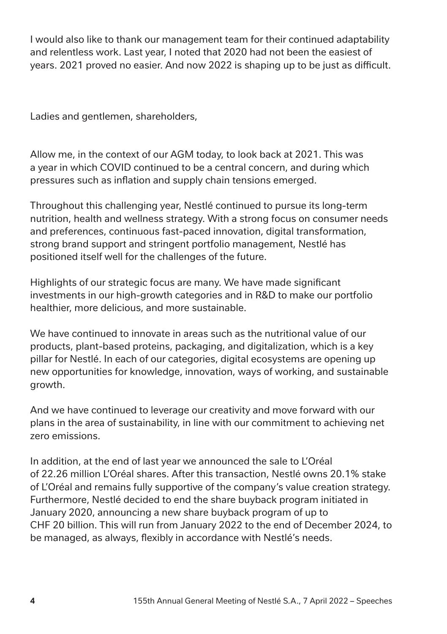I would also like to thank our management team for their continued adaptability and relentless work. Last year, I noted that 2020 had not been the easiest of years. 2021 proved no easier. And now 2022 is shaping up to be just as difficult.

Ladies and gentlemen, shareholders,

Allow me, in the context of our AGM today, to look back at 2021. This was a year in which COVID continued to be a central concern, and during which pressures such as inflation and supply chain tensions emerged.

Throughout this challenging year, Nestlé continued to pursue its long-term nutrition, health and wellness strategy. With a strong focus on consumer needs and preferences, continuous fast-paced innovation, digital transformation, strong brand support and stringent portfolio management, Nestlé has positioned itself well for the challenges of the future.

Highlights of our strategic focus are many. We have made significant investments in our high-growth categories and in R&D to make our portfolio healthier, more delicious, and more sustainable.

We have continued to innovate in areas such as the nutritional value of our products, plant-based proteins, packaging, and digitalization, which is a key pillar for Nestlé. In each of our categories, digital ecosystems are opening up new opportunities for knowledge, innovation, ways of working, and sustainable growth.

And we have continued to leverage our creativity and move forward with our plans in the area of sustainability, in line with our commitment to achieving net zero emissions.

In addition, at the end of last year we announced the sale to L'Oréal of 22.26 million L'Oréal shares. After this transaction, Nestlé owns 20.1% stake of L'Oréal and remains fully supportive of the company's value creation strategy. Furthermore, Nestlé decided to end the share buyback program initiated in January 2020, announcing a new share buyback program of up to CHF 20 billion. This will run from January 2022 to the end of December 2024, to be managed, as always, flexibly in accordance with Nestlé's needs.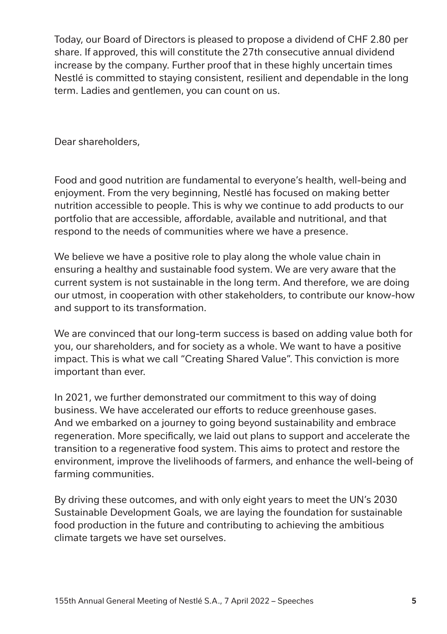Today, our Board of Directors is pleased to propose a dividend of CHF 2.80 per share. If approved, this will constitute the 27th consecutive annual dividend increase by the company. Further proof that in these highly uncertain times Nestlé is committed to staying consistent, resilient and dependable in the long term. Ladies and gentlemen, you can count on us.

Dear shareholders,

Food and good nutrition are fundamental to everyone's health, well-being and enjoyment. From the very beginning, Nestlé has focused on making better nutrition accessible to people. This is why we continue to add products to our portfolio that are accessible, affordable, available and nutritional, and that respond to the needs of communities where we have a presence.

We believe we have a positive role to play along the whole value chain in ensuring a healthy and sustainable food system. We are very aware that the current system is not sustainable in the long term. And therefore, we are doing our utmost, in cooperation with other stakeholders, to contribute our know-how and support to its transformation.

We are convinced that our long-term success is based on adding value both for you, our shareholders, and for society as a whole. We want to have a positive impact. This is what we call "Creating Shared Value". This conviction is more important than ever.

In 2021, we further demonstrated our commitment to this way of doing business. We have accelerated our efforts to reduce greenhouse gases. And we embarked on a journey to going beyond sustainability and embrace regeneration. More specifically, we laid out plans to support and accelerate the transition to a regenerative food system. This aims to protect and restore the environment, improve the livelihoods of farmers, and enhance the well-being of farming communities.

By driving these outcomes, and with only eight years to meet the UN's 2030 Sustainable Development Goals, we are laying the foundation for sustainable food production in the future and contributing to achieving the ambitious climate targets we have set ourselves.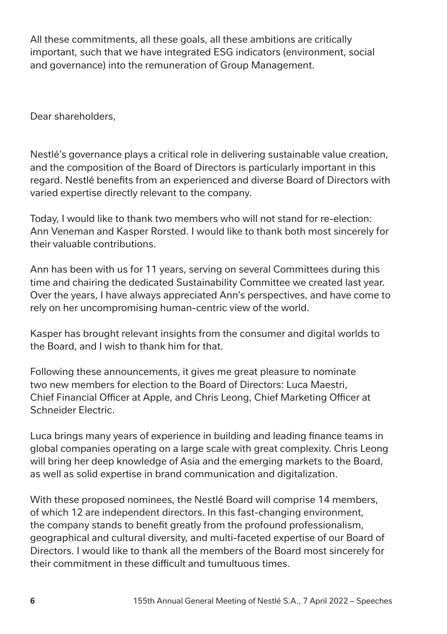All these commitments, all these goals, all these ambitions are critically important, such that we have integrated ESG indicators (environment, social and governance) into the remuneration of Group Management.

Dear shareholders,

Nestlé's governance plays a critical role in delivering sustainable value creation, and the composition of the Board of Directors is particularly important in this regard. Nestlé benefits from an experienced and diverse Board of Directors with varied expertise directly relevant to the company.

Today, I would like to thank two members who will not stand for re-election: Ann Veneman and Kasper Rorsted. I would like to thank both most sincerely for their valuable contributions.

Ann has been with us for 11 years, serving on several Committees during this time and chairing the dedicated Sustainability Committee we created last year. Over the years, I have always appreciated Ann's perspectives, and have come to rely on her uncompromising human-centric view of the world.

Kasper has brought relevant insights from the consumer and digital worlds to the Board, and I wish to thank him for that.

Following these announcements, it gives me great pleasure to nominate two new members for election to the Board of Directors: Luca Maestri, Chief Financial Officer at Apple, and Chris Leong, Chief Marketing Officer at Schneider Electric.

Luca brings many years of experience in building and leading finance teams in global companies operating on a large scale with great complexity. Chris Leong will bring her deep knowledge of Asia and the emerging markets to the Board, as well as solid expertise in brand communication and digitalization.

With these proposed nominees, the Nestlé Board will comprise 14 members, of which 12 are independent directors. In this fast-changing environment, the company stands to benefit greatly from the profound professionalism, geographical and cultural diversity, and multi-faceted expertise of our Board of Directors. I would like to thank all the members of the Board most sincerely for their commitment in these difficult and tumultuous times.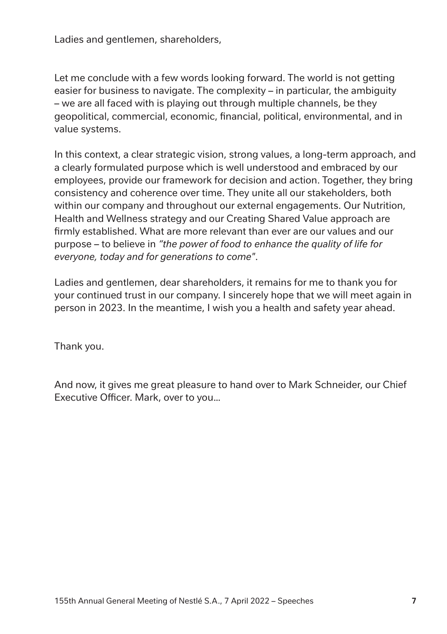Ladies and gentlemen, shareholders,

Let me conclude with a few words looking forward. The world is not getting easier for business to navigate. The complexity – in particular, the ambiguity – we are all faced with is playing out through multiple channels, be they geopolitical, commercial, economic, financial, political, environmental, and in value systems.

In this context, a clear strategic vision, strong values, a long-term approach, and a clearly formulated purpose which is well understood and embraced by our employees, provide our framework for decision and action. Together, they bring consistency and coherence over time. They unite all our stakeholders, both within our company and throughout our external engagements. Our Nutrition, Health and Wellness strategy and our Creating Shared Value approach are firmly established. What are more relevant than ever are our values and our purpose – to believe in *"the power of food to enhance the quality of life for everyone, today and for generations to come"*.

Ladies and gentlemen, dear shareholders, it remains for me to thank you for your continued trust in our company. I sincerely hope that we will meet again in person in 2023. In the meantime, I wish you a health and safety year ahead.

Thank you.

And now, it gives me great pleasure to hand over to Mark Schneider, our Chief Executive Officer. Mark, over to you…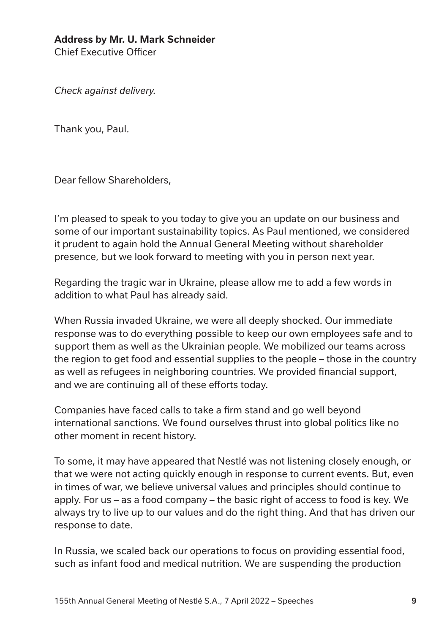### **Address by Mr. U. Mark Schneider**

Chief Executive Officer

*Check against delivery.*

Thank you, Paul.

Dear fellow Shareholders,

I'm pleased to speak to you today to give you an update on our business and some of our important sustainability topics. As Paul mentioned, we considered it prudent to again hold the Annual General Meeting without shareholder presence, but we look forward to meeting with you in person next year.

Regarding the tragic war in Ukraine, please allow me to add a few words in addition to what Paul has already said.

When Russia invaded Ukraine, we were all deeply shocked. Our immediate response was to do everything possible to keep our own employees safe and to support them as well as the Ukrainian people. We mobilized our teams across the region to get food and essential supplies to the people – those in the country as well as refugees in neighboring countries. We provided financial support, and we are continuing all of these efforts today.

Companies have faced calls to take a firm stand and go well beyond international sanctions. We found ourselves thrust into global politics like no other moment in recent history.

To some, it may have appeared that Nestlé was not listening closely enough, or that we were not acting quickly enough in response to current events. But, even in times of war, we believe universal values and principles should continue to apply. For us – as a food company – the basic right of access to food is key. We always try to live up to our values and do the right thing. And that has driven our response to date.

In Russia, we scaled back our operations to focus on providing essential food, such as infant food and medical nutrition. We are suspending the production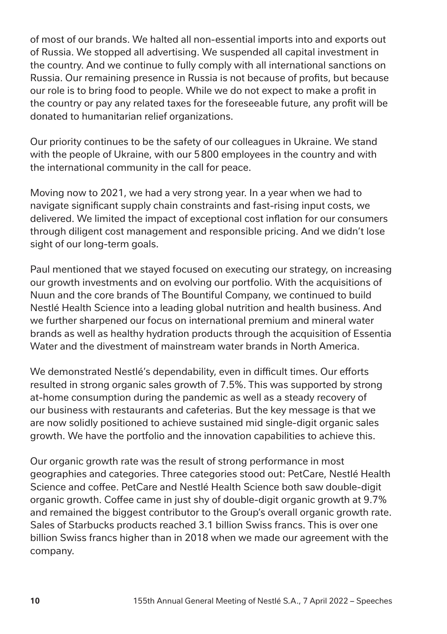of most of our brands. We halted all non-essential imports into and exports out of Russia. We stopped all advertising. We suspended all capital investment in the country. And we continue to fully comply with all international sanctions on Russia. Our remaining presence in Russia is not because of profits, but because our role is to bring food to people. While we do not expect to make a profit in the country or pay any related taxes for the foreseeable future, any profit will be donated to humanitarian relief organizations.

Our priority continues to be the safety of our colleagues in Ukraine. We stand with the people of Ukraine, with our 5800 employees in the country and with the international community in the call for peace.

Moving now to 2021, we had a very strong year. In a year when we had to navigate significant supply chain constraints and fast-rising input costs, we delivered. We limited the impact of exceptional cost inflation for our consumers through diligent cost management and responsible pricing. And we didn't lose sight of our long-term goals.

Paul mentioned that we stayed focused on executing our strategy, on increasing our growth investments and on evolving our portfolio. With the acquisitions of Nuun and the core brands of The Bountiful Company, we continued to build Nestlé Health Science into a leading global nutrition and health business. And we further sharpened our focus on international premium and mineral water brands as well as healthy hydration products through the acquisition of Essentia Water and the divestment of mainstream water brands in North America.

We demonstrated Nestlé's dependability, even in difficult times. Our efforts resulted in strong organic sales growth of 7.5%. This was supported by strong at-home consumption during the pandemic as well as a steady recovery of our business with restaurants and cafeterias. But the key message is that we are now solidly positioned to achieve sustained mid single-digit organic sales growth. We have the portfolio and the innovation capabilities to achieve this.

Our organic growth rate was the result of strong performance in most geographies and categories. Three categories stood out: PetCare, Nestlé Health Science and coffee. PetCare and Nestlé Health Science both saw double-digit organic growth. Coffee came in just shy of double-digit organic growth at 9.7% and remained the biggest contributor to the Group's overall organic growth rate. Sales of Starbucks products reached 3.1 billion Swiss francs. This is over one billion Swiss francs higher than in 2018 when we made our agreement with the company.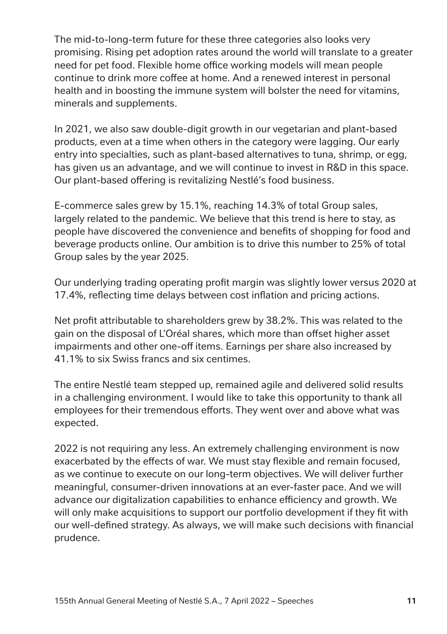The mid-to-long-term future for these three categories also looks very promising. Rising pet adoption rates around the world will translate to a greater need for pet food. Flexible home office working models will mean people continue to drink more coffee at home. And a renewed interest in personal health and in boosting the immune system will bolster the need for vitamins, minerals and supplements.

In 2021, we also saw double-digit growth in our vegetarian and plant-based products, even at a time when others in the category were lagging. Our early entry into specialties, such as plant-based alternatives to tuna, shrimp, or egg, has given us an advantage, and we will continue to invest in R&D in this space. Our plant-based offering is revitalizing Nestlé's food business.

E-commerce sales grew by 15.1%, reaching 14.3% of total Group sales, largely related to the pandemic. We believe that this trend is here to stay, as people have discovered the convenience and benefits of shopping for food and beverage products online. Our ambition is to drive this number to 25% of total Group sales by the year 2025.

Our underlying trading operating profit margin was slightly lower versus 2020 at 17.4%, reflecting time delays between cost inflation and pricing actions.

Net profit attributable to shareholders grew by 38.2%. This was related to the gain on the disposal of L'Oréal shares, which more than offset higher asset impairments and other one-off items. Earnings per share also increased by 41.1% to six Swiss francs and six centimes.

The entire Nestlé team stepped up, remained agile and delivered solid results in a challenging environment. I would like to take this opportunity to thank all employees for their tremendous efforts. They went over and above what was expected.

2022 is not requiring any less. An extremely challenging environment is now exacerbated by the effects of war. We must stay flexible and remain focused, as we continue to execute on our long-term objectives. We will deliver further meaningful, consumer-driven innovations at an ever-faster pace. And we will advance our digitalization capabilities to enhance efficiency and growth. We will only make acquisitions to support our portfolio development if they fit with our well-defined strategy. As always, we will make such decisions with financial prudence.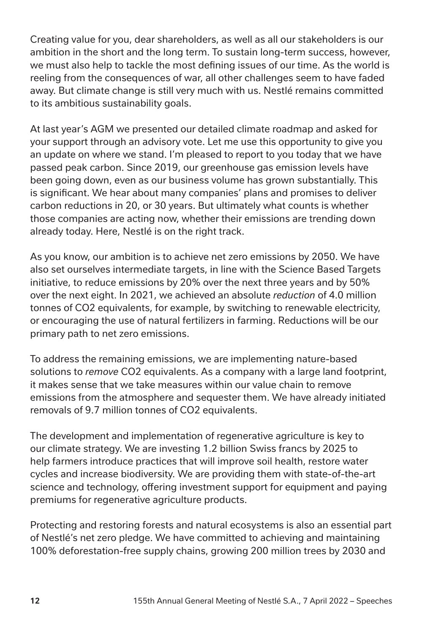Creating value for you, dear shareholders, as well as all our stakeholders is our ambition in the short and the long term. To sustain long-term success, however, we must also help to tackle the most defining issues of our time. As the world is reeling from the consequences of war, all other challenges seem to have faded away. But climate change is still very much with us. Nestlé remains committed to its ambitious sustainability goals.

At last year's AGM we presented our detailed climate roadmap and asked for your support through an advisory vote. Let me use this opportunity to give you an update on where we stand. I'm pleased to report to you today that we have passed peak carbon. Since 2019, our greenhouse gas emission levels have been going down, even as our business volume has grown substantially. This is significant. We hear about many companies' plans and promises to deliver carbon reductions in 20, or 30 years. But ultimately what counts is whether those companies are acting now, whether their emissions are trending down already today. Here, Nestlé is on the right track.

As you know, our ambition is to achieve net zero emissions by 2050. We have also set ourselves intermediate targets, in line with the Science Based Targets initiative, to reduce emissions by 20% over the next three years and by 50% over the next eight. In 2021, we achieved an absolute *reduction* of 4.0 million tonnes of CO2 equivalents, for example, by switching to renewable electricity, or encouraging the use of natural fertilizers in farming. Reductions will be our primary path to net zero emissions.

To address the remaining emissions, we are implementing nature-based solutions to *remove* CO2 equivalents. As a company with a large land footprint, it makes sense that we take measures within our value chain to remove emissions from the atmosphere and sequester them. We have already initiated removals of 9.7 million tonnes of CO2 equivalents.

The development and implementation of regenerative agriculture is key to our climate strategy. We are investing 1.2 billion Swiss francs by 2025 to help farmers introduce practices that will improve soil health, restore water cycles and increase biodiversity. We are providing them with state-of-the-art science and technology, offering investment support for equipment and paying premiums for regenerative agriculture products.

Protecting and restoring forests and natural ecosystems is also an essential part of Nestlé's net zero pledge. We have committed to achieving and maintaining 100% deforestation-free supply chains, growing 200 million trees by 2030 and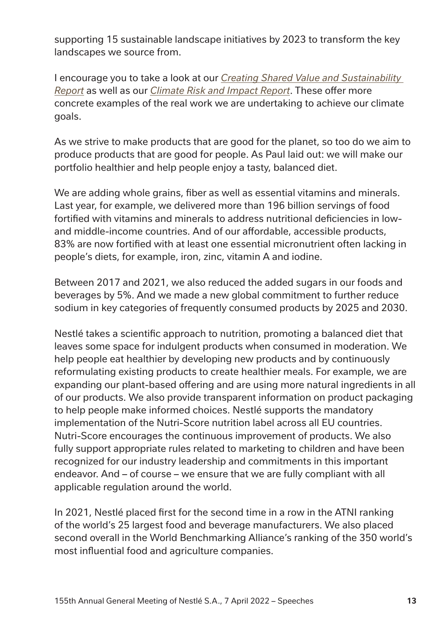supporting 15 sustainable landscape initiatives by 2023 to transform the key landscapes we source from.

I encourage you to take a look at our *[Creating Shared Value and Sustainability](https://www.nestle.com/sites/default/files/2022-03/creating-shared-value-sustainability-report-2021-en.pdf)  [Report](https://www.nestle.com/sites/default/files/2022-03/creating-shared-value-sustainability-report-2021-en.pdf)* as well as our *[Climate Risk and Impact Report](https://www.nestle.com/sites/default/files/2022-03/2021-tcfd-report.pdf)*. These offer more concrete examples of the real work we are undertaking to achieve our climate goals.

As we strive to make products that are good for the planet, so too do we aim to produce products that are good for people. As Paul laid out: we will make our portfolio healthier and help people enjoy a tasty, balanced diet.

We are adding whole grains, fiber as well as essential vitamins and minerals. Last year, for example, we delivered more than 196 billion servings of food fortified with vitamins and minerals to address nutritional deficiencies in lowand middle-income countries. And of our affordable, accessible products, 83% are now fortified with at least one essential micronutrient often lacking in people's diets, for example, iron, zinc, vitamin A and iodine.

Between 2017 and 2021, we also reduced the added sugars in our foods and beverages by 5%. And we made a new global commitment to further reduce sodium in key categories of frequently consumed products by 2025 and 2030.

Nestlé takes a scientific approach to nutrition, promoting a balanced diet that leaves some space for indulgent products when consumed in moderation. We help people eat healthier by developing new products and by continuously reformulating existing products to create healthier meals. For example, we are expanding our plant-based offering and are using more natural ingredients in all of our products. We also provide transparent information on product packaging to help people make informed choices. Nestlé supports the mandatory implementation of the Nutri-Score nutrition label across all EU countries. Nutri-Score encourages the continuous improvement of products. We also fully support appropriate rules related to marketing to children and have been recognized for our industry leadership and commitments in this important endeavor. And – of course – we ensure that we are fully compliant with all applicable regulation around the world.

In 2021, Nestlé placed first for the second time in a row in the ATNI ranking of the world's 25 largest food and beverage manufacturers. We also placed second overall in the World Benchmarking Alliance's ranking of the 350 world's most influential food and agriculture companies.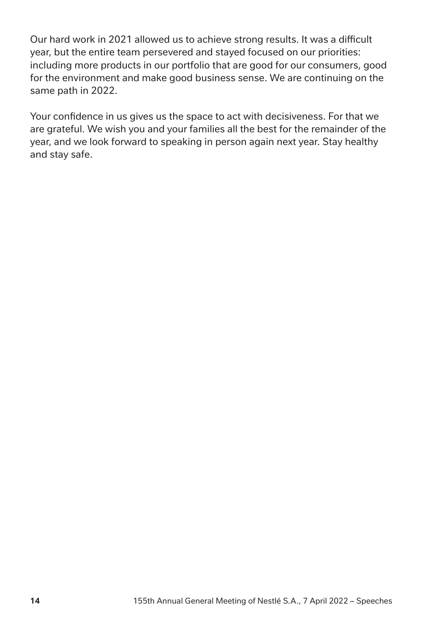Our hard work in 2021 allowed us to achieve strong results. It was a difficult year, but the entire team persevered and stayed focused on our priorities: including more products in our portfolio that are good for our consumers, good for the environment and make good business sense. We are continuing on the same path in 2022.

Your confidence in us gives us the space to act with decisiveness. For that we are grateful. We wish you and your families all the best for the remainder of the year, and we look forward to speaking in person again next year. Stay healthy and stay safe.